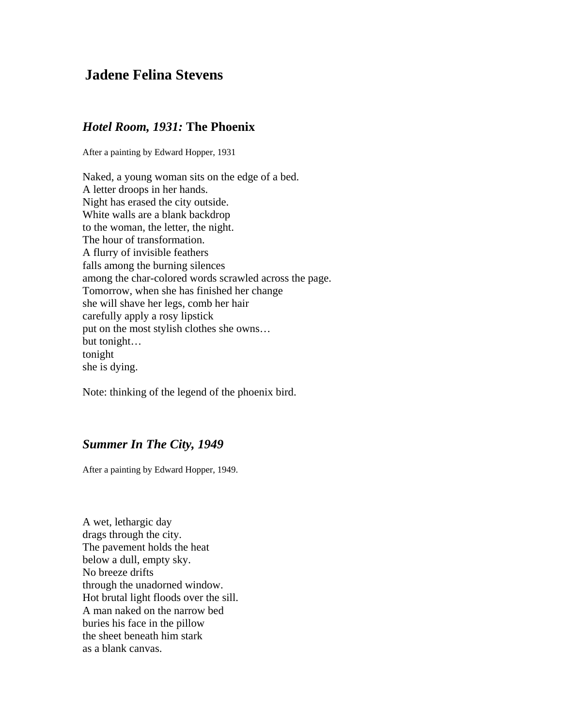## **Jadene Felina Stevens**

## *Hotel Room, 1931:* **The Phoenix**

After a painting by Edward Hopper, 1931

Naked, a young woman sits on the edge of a bed. A letter droops in her hands. Night has erased the city outside. White walls are a blank backdrop to the woman, the letter, the night. The hour of transformation. A flurry of invisible feathers falls among the burning silences among the char-colored words scrawled across the page. Tomorrow, when she has finished her change she will shave her legs, comb her hair carefully apply a rosy lipstick put on the most stylish clothes she owns… but tonight… tonight she is dying.

Note: thinking of the legend of the phoenix bird.

## *Summer In The City, 1949*

After a painting by Edward Hopper, 1949.

A wet, lethargic day drags through the city. The pavement holds the heat below a dull, empty sky. No breeze drifts through the unadorned window. Hot brutal light floods over the sill. A man naked on the narrow bed buries his face in the pillow the sheet beneath him stark as a blank canvas.